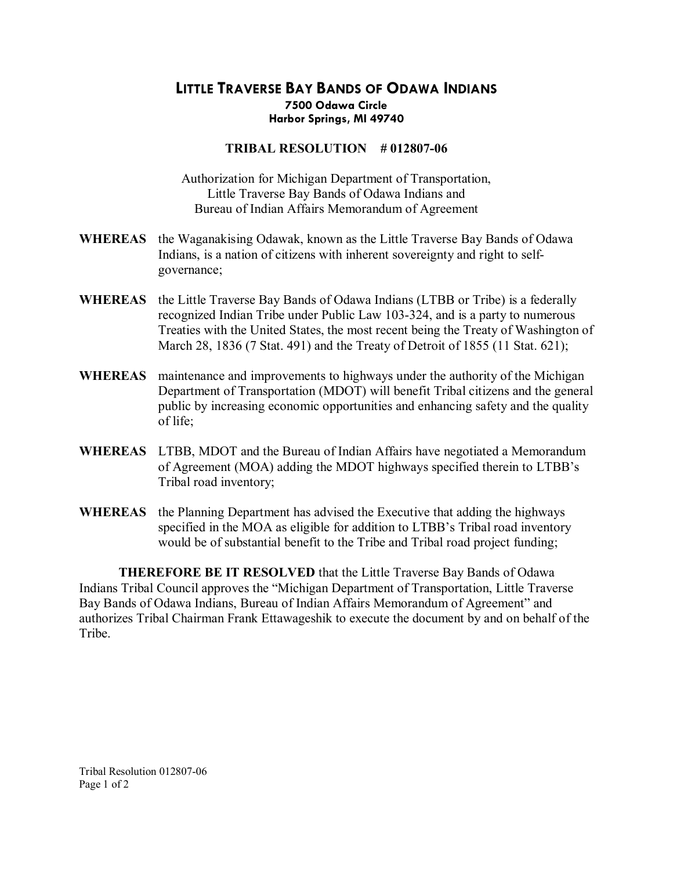## **LITTLE TRAVERSE BAY BANDS OF ODAWA INDIANS 7500 Odawa Circle Harbor Springs, MI 49740**

## **TRIBAL RESOLUTION #012807-06**

Authorization for Michigan Department of Transportation, Little Traverse Bay Bands of Odawa Indians and Bureau of Indian Affairs Memorandum of Agreement

- **WHEREAS** the Waganakising Odawak, known as the Little Traverse Bay Bands of Odawa Indians, is a nation of citizens with inherent sovereignty and right to self governance;
- **WHEREAS** the Little Traverse Bay Bands of Odawa Indians (LTBB or Tribe) is a federally recognized Indian Tribe under Public Law 103-324, and is a party to numerous Treaties with the United States, the most recent being the Treaty of Washington of March 28, 1836 (7 Stat. 491) and the Treaty of Detroit of 1855 (11 Stat. 621);
- **WHEREAS** maintenance and improvements to highways under the authority of the Michigan Department of Transportation (MDOT) will benefit Tribal citizens and the general public by increasing economic opportunities and enhancing safety and the quality of life;
- **WHEREAS** LTBB, MDOT and the Bureau of Indian Affairs have negotiated a Memorandum of Agreement (MOA) adding the MDOT highways specified therein to LTBB's Tribal road inventory;
- **WHEREAS** the Planning Department has advised the Executive that adding the highways specified in the MOA as eligible for addition to LTBB's Tribal road inventory would be of substantial benefit to the Tribe and Tribal road project funding;

**THEREFORE BE IT RESOLVED** that the Little Traverse Bay Bands of Odawa Indians Tribal Council approves the "Michigan Department of Transportation, Little Traverse Bay Bands of Odawa Indians, Bureau of Indian Affairs Memorandum of Agreement" and authorizes Tribal Chairman Frank Ettawageshik to execute the document by and on behalf of the **Tribe**